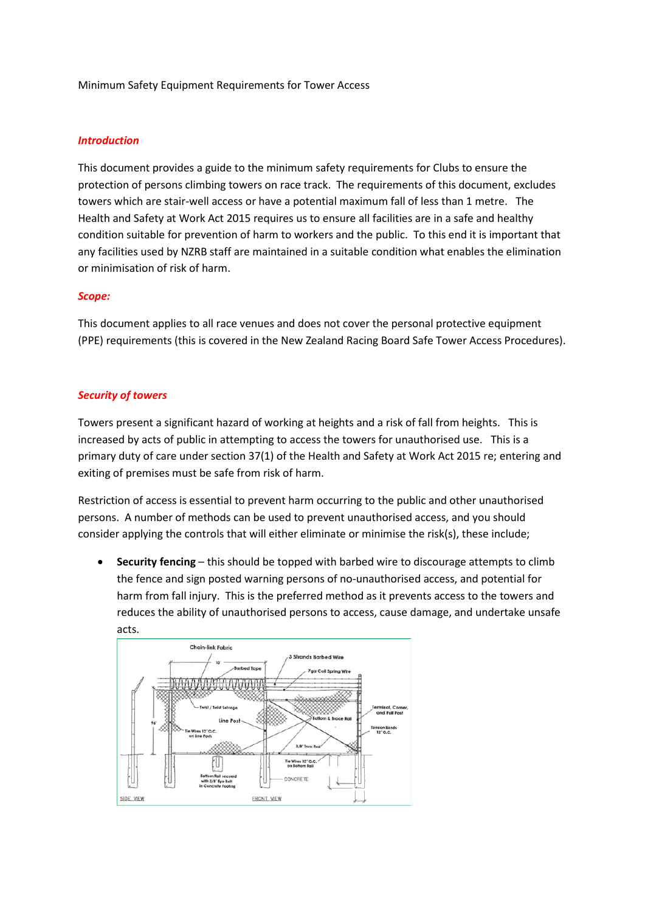Minimum Safety Equipment Requirements for Tower Access

#### *Introduction*

This document provides a guide to the minimum safety requirements for Clubs to ensure the protection of persons climbing towers on race track. The requirements of this document, excludes towers which are stair-well access or have a potential maximum fall of less than 1 metre. The Health and Safety at Work Act 2015 requires us to ensure all facilities are in a safe and healthy condition suitable for prevention of harm to workers and the public. To this end it is important that any facilities used by NZRB staff are maintained in a suitable condition what enables the elimination or minimisation of risk of harm.

#### *Scope:*

This document applies to all race venues and does not cover the personal protective equipment (PPE) requirements (this is covered in the New Zealand Racing Board Safe Tower Access Procedures).

#### *Security of towers*

Towers present a significant hazard of working at heights and a risk of fall from heights. This is increased by acts of public in attempting to access the towers for unauthorised use. This is a primary duty of care under section 37(1) of the Health and Safety at Work Act 2015 re; entering and exiting of premises must be safe from risk of harm.

Restriction of access is essential to prevent harm occurring to the public and other unauthorised persons. A number of methods can be used to prevent unauthorised access, and you should consider applying the controls that will either eliminate or minimise the risk(s), these include;

• **Security fencing** – this should be topped with barbed wire to discourage attempts to climb the fence and sign posted warning persons of no-unauthorised access, and potential for harm from fall injury. This is the preferred method as it prevents access to the towers and reduces the ability of unauthorised persons to access, cause damage, and undertake unsafe acts.

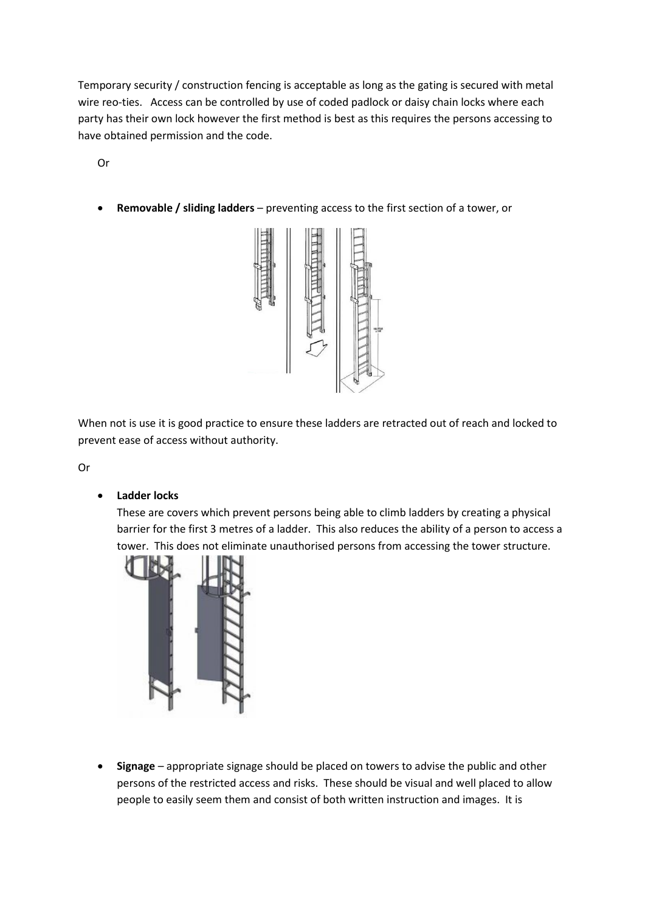Temporary security / construction fencing is acceptable as long as the gating is secured with metal wire reo-ties. Access can be controlled by use of coded padlock or daisy chain locks where each party has their own lock however the first method is best as this requires the persons accessing to have obtained permission and the code.

Or

• **Removable / sliding ladders** – preventing access to the first section of a tower, or



When not is use it is good practice to ensure these ladders are retracted out of reach and locked to prevent ease of access without authority.

Or

• **Ladder locks**

These are covers which prevent persons being able to climb ladders by creating a physical barrier for the first 3 metres of a ladder. This also reduces the ability of a person to access a tower. This does not eliminate unauthorised persons from accessing the tower structure.



• **Signage** – appropriate signage should be placed on towers to advise the public and other persons of the restricted access and risks. These should be visual and well placed to allow people to easily seem them and consist of both written instruction and images. It is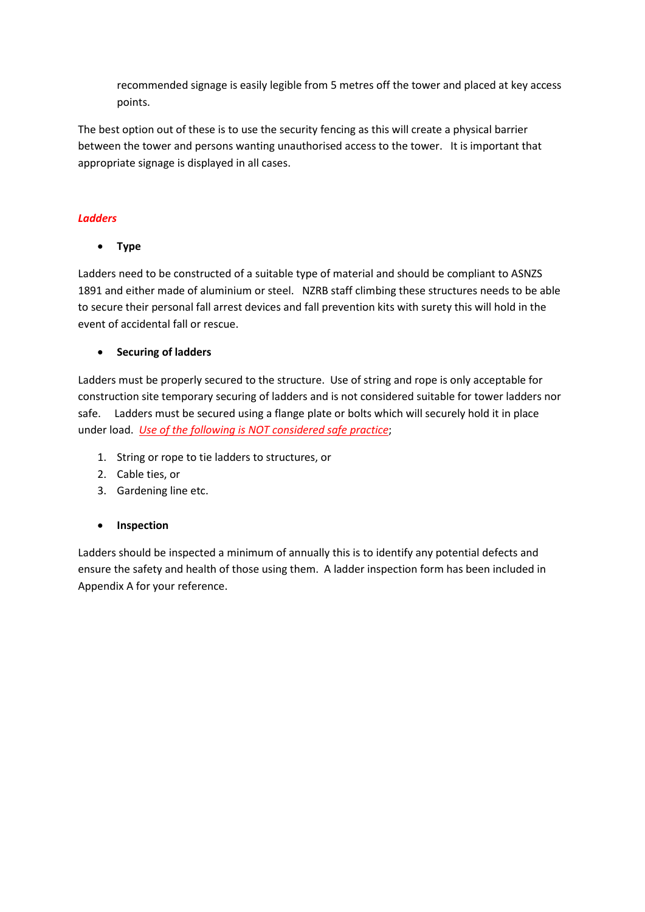recommended signage is easily legible from 5 metres off the tower and placed at key access points.

The best option out of these is to use the security fencing as this will create a physical barrier between the tower and persons wanting unauthorised access to the tower. It is important that appropriate signage is displayed in all cases.

## *Ladders*

• **Type**

Ladders need to be constructed of a suitable type of material and should be compliant to ASNZS 1891 and either made of aluminium or steel. NZRB staff climbing these structures needs to be able to secure their personal fall arrest devices and fall prevention kits with surety this will hold in the event of accidental fall or rescue.

# • **Securing of ladders**

Ladders must be properly secured to the structure. Use of string and rope is only acceptable for construction site temporary securing of ladders and is not considered suitable for tower ladders nor safe. Ladders must be secured using a flange plate or bolts which will securely hold it in place under load. *Use of the following is NOT considered safe practice*;

- 1. String or rope to tie ladders to structures, or
- 2. Cable ties, or
- 3. Gardening line etc.

## • **Inspection**

Ladders should be inspected a minimum of annually this is to identify any potential defects and ensure the safety and health of those using them. A ladder inspection form has been included in Appendix A for your reference.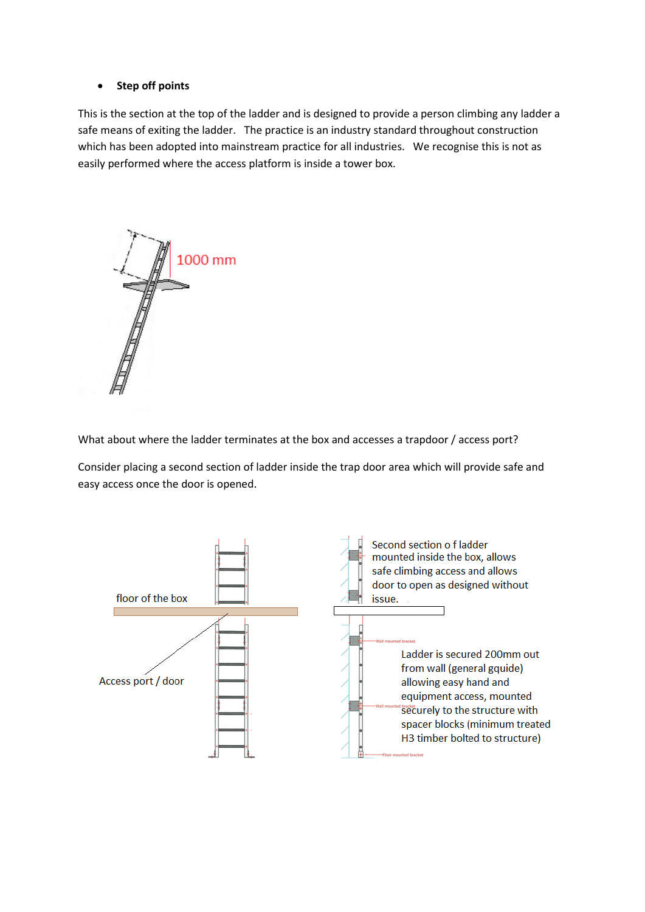#### • **Step off points**

This is the section at the top of the ladder and is designed to provide a person climbing any ladder a safe means of exiting the ladder. The practice is an industry standard throughout construction which has been adopted into mainstream practice for all industries. We recognise this is not as easily performed where the access platform is inside a tower box.



What about where the ladder terminates at the box and accesses a trapdoor / access port?

Consider placing a second section of ladder inside the trap door area which will provide safe and easy access once the door is opened.

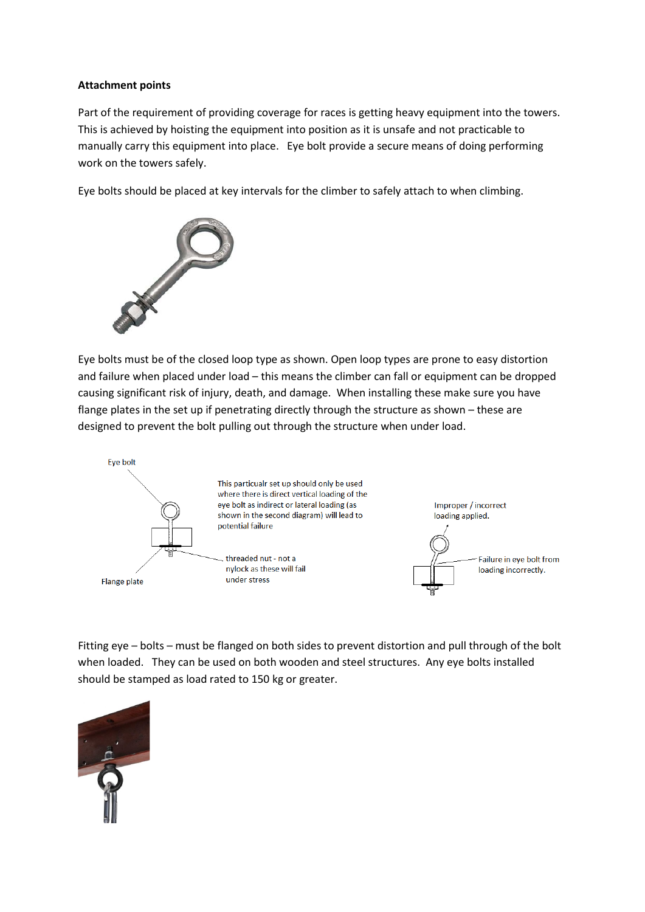#### **Attachment points**

Part of the requirement of providing coverage for races is getting heavy equipment into the towers. This is achieved by hoisting the equipment into position as it is unsafe and not practicable to manually carry this equipment into place. Eye bolt provide a secure means of doing performing work on the towers safely.

Eye bolts should be placed at key intervals for the climber to safely attach to when climbing.



Eye bolts must be of the closed loop type as shown. Open loop types are prone to easy distortion and failure when placed under load – this means the climber can fall or equipment can be dropped causing significant risk of injury, death, and damage. When installing these make sure you have flange plates in the set up if penetrating directly through the structure as shown - these are designed to prevent the bolt pulling out through the structure when under load.



Fitting eye – bolts – must be flanged on both sides to prevent distortion and pull through of the bolt when loaded. They can be used on both wooden and steel structures. Any eye bolts installed should be stamped as load rated to 150 kg or greater.

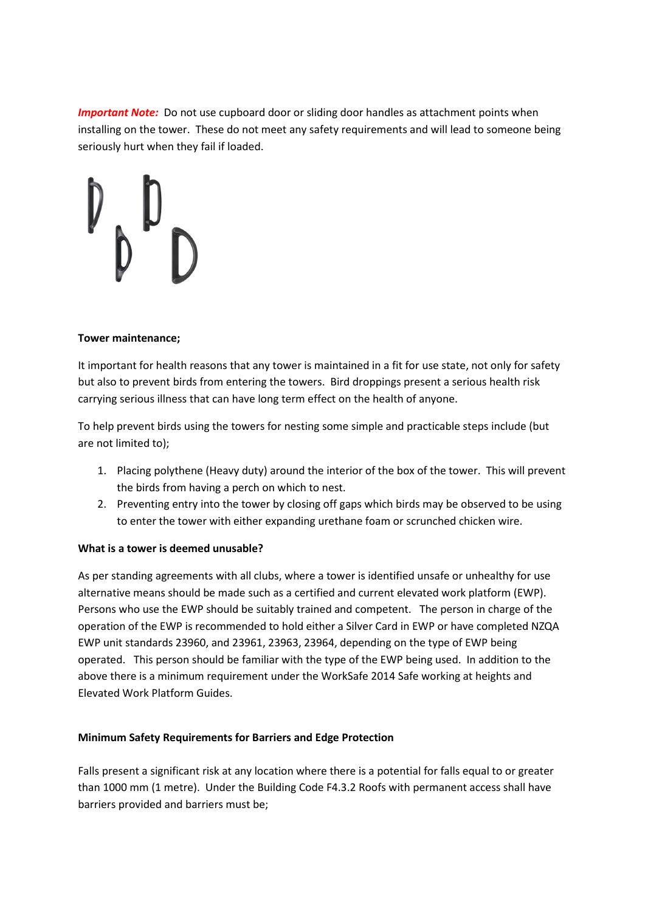*Important Note:* Do not use cupboard door or sliding door handles as attachment points when installing on the tower. These do not meet any safety requirements and will lead to someone being seriously hurt when they fail if loaded.

#### **Tower maintenance;**

It important for health reasons that any tower is maintained in a fit for use state, not only for safety but also to prevent birds from entering the towers. Bird droppings present a serious health risk carrying serious illness that can have long term effect on the health of anyone.

To help prevent birds using the towers for nesting some simple and practicable steps include (but are not limited to);

- 1. Placing polythene (Heavy duty) around the interior of the box of the tower. This will prevent the birds from having a perch on which to nest.
- 2. Preventing entry into the tower by closing off gaps which birds may be observed to be using to enter the tower with either expanding urethane foam or scrunched chicken wire.

### **What is a tower is deemed unusable?**

As per standing agreements with all clubs, where a tower is identified unsafe or unhealthy for use alternative means should be made such as a certified and current elevated work platform (EWP). Persons who use the EWP should be suitably trained and competent. The person in charge of the operation of the EWP is recommended to hold either a Silver Card in EWP or have completed NZQA EWP unit standards 23960, and 23961, 23963, 23964, depending on the type of EWP being operated. This person should be familiar with the type of the EWP being used. In addition to the above there is a minimum requirement under the WorkSafe 2014 Safe working at heights and Elevated Work Platform Guides.

### **Minimum Safety Requirements for Barriers and Edge Protection**

Falls present a significant risk at any location where there is a potential for falls equal to or greater than 1000 mm (1 metre). Under the Building Code F4.3.2 Roofs with permanent access shall have barriers provided and barriers must be;